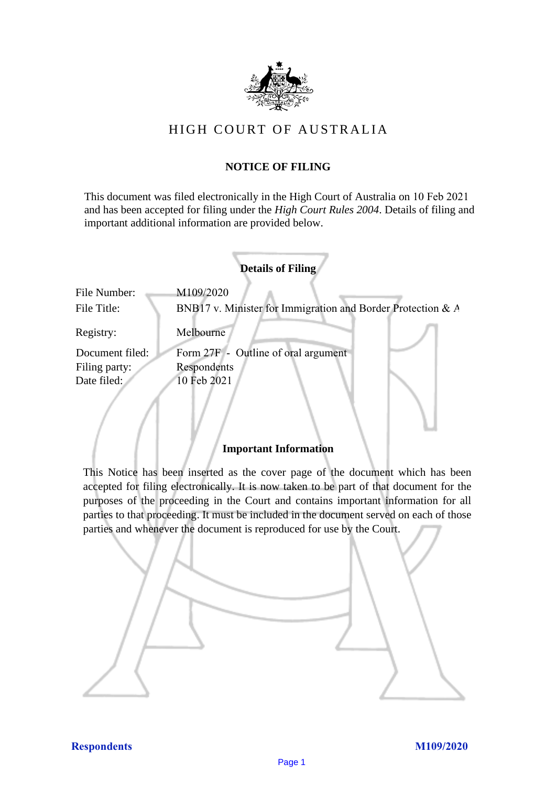

# HIGH COURT OF AU STRALIA HIGH COURT OF AUSTRALIA

## **NOTICE OF FILING** NOTICE OF FILING

This document was filed electronically in the High Court of Australia on 10 Feb 2021 and has been accepted for filing under the *High Court Rules 2004*. Details of filing and important additional information are provided below. important additional information are provided below.

| <b>Details of Filing</b>    |                                                                          |
|-----------------------------|--------------------------------------------------------------------------|
| File Number:<br>File Title: | M109/2020<br>BNB17 v. Minister for Immigration and Border Protection & A |
| Registry:                   | Melbourne                                                                |
| Document filed:             | Form 27F - Outline of oral argument                                      |
| Filing party:               | Respondents                                                              |
| Date filed:                 | 10 Feb 2021                                                              |
|                             |                                                                          |

### **Important Information** Important Information

This Notice has been inserted as the cover page of the document which has been accepted for filing electronically. It is now taken to be part of that document for the purposes of the proceeding in the Court and contains important information for all parties to that proceeding. It must be included in the document served on each of those parties and whenever the document is reproduced for use by the Court. parties and whenever the document is reproduced for use by the Court

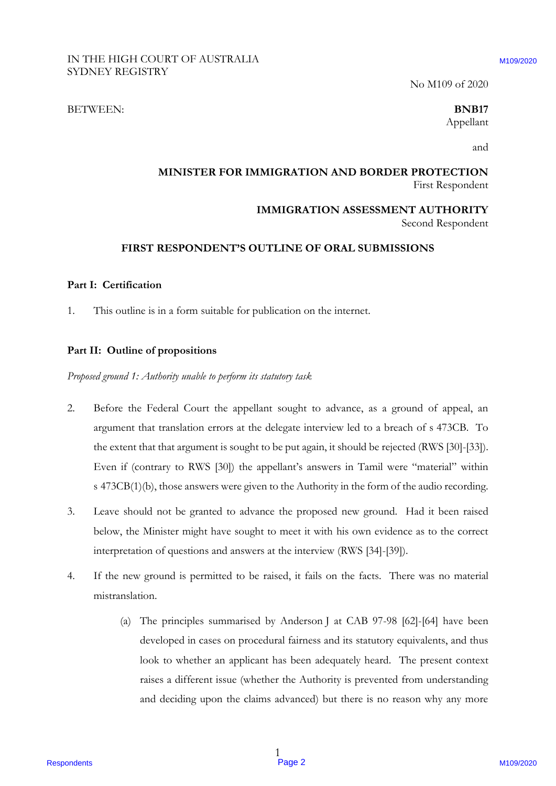No M109 of 2020 No M109 of 2020

#### BETWEEN: **BNB17** BETWEEN: **BNB17**

Appellant Appellant

and and

### **MINISTER FOR IMMIGRATION AND BORDER PROTECTION** MINISTER FOR IMMIGRATION AND BORDER PROTECTION First Respondent First Respondent

**IMMIGRATION ASSESSMENT AUTHORITY** IMMIGRATION ASSESSMENT AUTHORITY

Second Respondent Second Respondent

### **FIRST RESPONDENT'S OUTLINE OF ORAL SUBMISSIONS** FIRST RESPONDENT?'S OUTLINE OF ORAL SUBMISSIONS

#### **Part I: Certification** Part I: Certification

1. This outline is in a form suitable for publication on the internet. 1. This outline is in a form suitable for publication on the internet.

#### **Part II: Outline of propositions** Part II: Outline of propositions

*Proposed ground 1: Authority unable to perform its statutory task* Proposedground 1: Authority unable to perform its statutory task

- 2. Before the Federal Court the appellant sought to advance, as a ground of appeal, an 2. Before the Federal Court the appellant sought to advance, as <sup>a</sup> ground of appeal, an argument that translation errors at the delegate interview led to a breach of s 473CB. To argument that translation errors at the delegate interview led to <sup>a</sup> breach of <sup>s</sup> 473CB. To the extent that that argument is sought to be put again, it should be rejected (RWS [30]-[33]). the extent that that argument is sought to be put again, it should be rejected (RWS [30]-[33]). Even if (contrary to RWS [30]) the appellant's answers in Tamil were "material" within Even if (contrary to RWS [30]) the appellant's answers in Tamil were "material" within s 473CB(1)(b), those answers were given to the Authority in the form of the audio recording. <sup>s</sup> 473CB(1)(b), those answers were given to the Authority in the form of the audio recording, RESPONDENT OF ACSTROMATION ASSOCIATES (SO MATION 2020)<br>
RESPONDENT TO THE SET INTERFERIT OF AN INSTITUTE CONTINUES (SO MATION ASSESSMENT ADTENDENTY)<br>
SET INTERFERIT RESPONDENTS OUTLINE OF ORAL SUBMISSIONS<br>
PART I. Corrifo
	- 3. Leave should not be granted to advance the proposed new ground. Had it been raised 3. Leave should not be granted to advance the proposed new ground. Had it been raised below, the Minister might have sought to meet it with his own evidence as to the correct below, the Minister might have sought to meet it with his own evidence as to the correct interpretation of questions and answers at the interview (RWS [34]-[39]). interpretation of questions and answers at the interview (RWS [34]-[39]).
	- 4. If the new ground is permitted to be raised, it fails on the facts. There was no material 4. If the new ground is permitted to be raised, it fails on the facts. There was no material mistranslation. mistranslation.
		- (a) The principles summarised by Anderson J at CAB 97-98 [62]-[64] have been (a) The principles summarised by Anderson<sup>J</sup> at CAB 97-98 [62]-[64] have been developed in cases on procedural fairness and its statutory equivalents, and thus developed in cases on procedural fairness and its statutory equivalents, and thus look to whether an applicant has been adequately heard. The present context look to whether an applicant has been adequately heard. The present context raises a different issue (whether the Authority is prevented from understanding raises <sup>a</sup> different issue (whether the Authority is prevented from understanding and deciding upon the claims advanced) but there is no reason why any more and deciding upon the claims advanced) but there is no reason why any more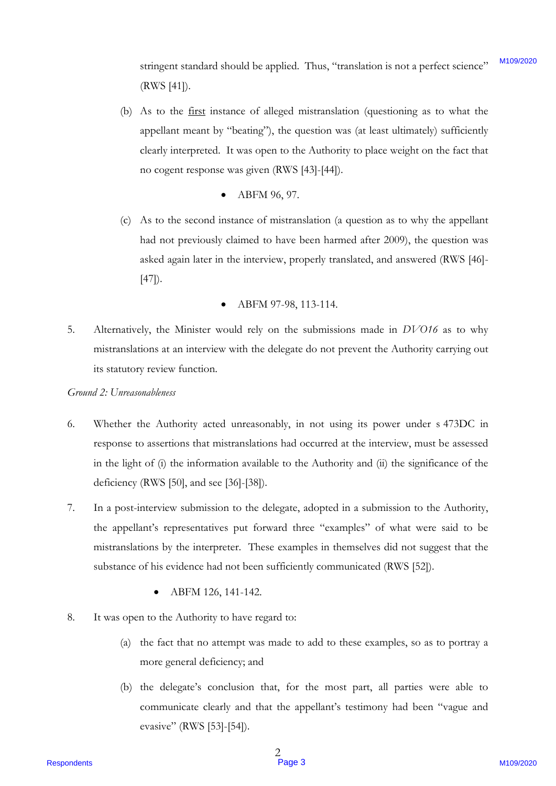stringent standard should be applied. Thus, "translation is not a perfect science" (RWS [41]). M109/2020

- (RWS [41]).<br>(b) As to the <u>first</u> instance of alleged mistranslation (questioning as to what the appellant meant by "beating"), the question was (at least ultimately) sufficiently appellant meant by "beating"'), the question was (at least ultimately) sufficiently clearly interpreted. It was open to the Authority to place weight on the fact that clearly interpreted. It was open to the Authority to place weight on the fact that no cogent response was given (RWS [43]-[44]). no cogent response was given (RWS [43]-[44]).
	- ABFM 96, 97. <sup>e</sup> ABFM 96, 97.
- (c) As to the second instance of mistranslation (a question as to why the appellant (c) As to the second instance of mistranslation (a question as to why the appellant had not previously claimed to have been harmed after 2009), the question was had not previously claimed to have been harmed after 2009), the question was asked again later in the interview, properly translated, and answered (RWS [46]- asked again later in the interview, properly translated, and answered (RWS [46]- [47]). [47]).
	- ABFM 97-98, 113-114. e ABFM 97-98, 113-114.
- 5. Alternatively, the Minister would rely on the submissions made in *DVO16* as to why mistranslations at an interview with the delegate do not prevent the Authority carrying out mistranslations at an interview with the delegate do not prevent the Authority carrying out its statutory review function. its statutory review function. 5.

### *Ground 2: Unreasonableness* Ground 2: Unreasonableness

- 6. Whether the Authority acted unreasonably, in not using its power under s 473DC in Whether the Authority acted unreasonably, in not using its power under <sup>s</sup> 473DC in response to assertions that mistranslations had occurred at the interview, must be assessed response to assertions that mistranslations had occurred at the interview, must be assessed in the light of (i) the information available to the Authority and (ii) the significance of the in the light of (i) the information available to the Authority and (ii) the significance of the deficiency (RWS [50], and see [36]-[38]). deficiency (RWS [50], and see [36]-[38]). simigrated through the the base of the signified. Thus, "translation is not a performation of AV As to the  $\frac{1}{2}$  As to the  $\frac{1}{2}$  As to the  $\frac{1}{2}$  As to the  $\frac{1}{2}$  As to the  $\frac{1}{2}$  mpchanic metal of  $\frac{1}{$ 6.
	- 7. In a post-interview submission to the delegate, adopted in a submission to the Authority, In a post-interview submission to the delegate, adopted in a submission to the Authority, the appellant's representatives put forward three "examples" of what were said to be the appellant's representatives put forward three "examples" of what were said to be mistranslations by the interpreter. These examples in themselves did not suggest that the mistranslations by the interpreter. These examples in themselves did not suggest that the substance of his evidence had not been sufficiently communicated (RWS [52]). substance of his evidence had not been sufficiently communicated (RWS [52]).
		- ABFM 126, 141-142.
	- 8. It was open to the Authority to have regard to: It was open to the Authority to have regard to:
		- (a) the fact that no attempt was made to add to these examples, so as to portray a (a) the fact that no attempt was made to add to these examples, so as to portray <sup>a</sup> more general deficiency; and more general deficiency; and
		- (b) the delegate's conclusion that, for the most part, all parties were able to (b) the delegate's conclusion that, for the most part, all parties were able to communicate clearly and that the appellant's testimony had been "vague and evasive" (RWS [53]-[54]). evasive" (RWS [53]-[54}).